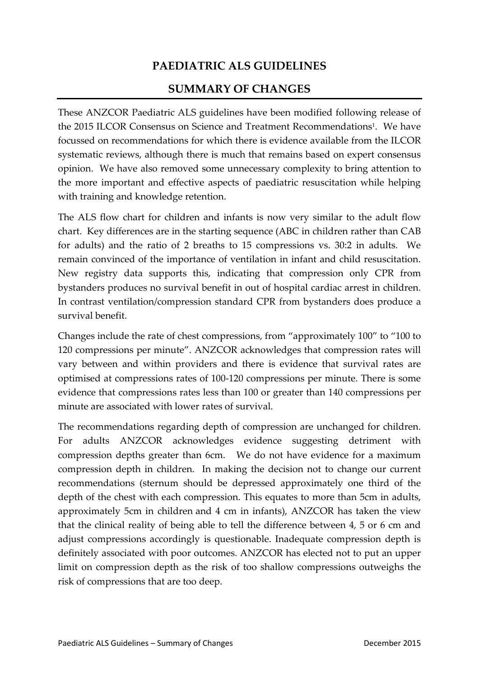## **PAEDIATRIC ALS GUIDELINES**

## **SUMMARY OF CHANGES**

These ANZCOR Paediatric ALS guidelines have been modified following release of the 2015 ILCOR Consensus on Science and Treatment Recommendations<sup>1</sup>. We have focussed on recommendations for which there is evidence available from the ILCOR systematic reviews, although there is much that remains based on expert consensus opinion. We have also removed some unnecessary complexity to bring attention to the more important and effective aspects of paediatric resuscitation while helping with training and knowledge retention.

The ALS flow chart for children and infants is now very similar to the adult flow chart. Key differences are in the starting sequence (ABC in children rather than CAB for adults) and the ratio of 2 breaths to 15 compressions vs. 30:2 in adults. We remain convinced of the importance of ventilation in infant and child resuscitation. New registry data supports this, indicating that compression only CPR from bystanders produces no survival benefit in out of hospital cardiac arrest in children. In contrast ventilation/compression standard CPR from bystanders does produce a survival benefit.

Changes include the rate of chest compressions, from "approximately 100" to "100 to 120 compressions per minute". ANZCOR acknowledges that compression rates will vary between and within providers and there is evidence that survival rates are optimised at compressions rates of 100-120 compressions per minute. There is some evidence that compressions rates less than 100 or greater than 140 compressions per minute are associated with lower rates of survival.

The recommendations regarding depth of compression are unchanged for children. For adults ANZCOR acknowledges evidence suggesting detriment with compression depths greater than 6cm. We do not have evidence for a maximum compression depth in children. In making the decision not to change our current recommendations (sternum should be depressed approximately one third of the depth of the chest with each compression. This equates to more than 5cm in adults, approximately 5cm in children and 4 cm in infants), ANZCOR has taken the view that the clinical reality of being able to tell the difference between 4, 5 or 6 cm and adjust compressions accordingly is questionable. Inadequate compression depth is definitely associated with poor outcomes. ANZCOR has elected not to put an upper limit on compression depth as the risk of too shallow compressions outweighs the risk of compressions that are too deep.